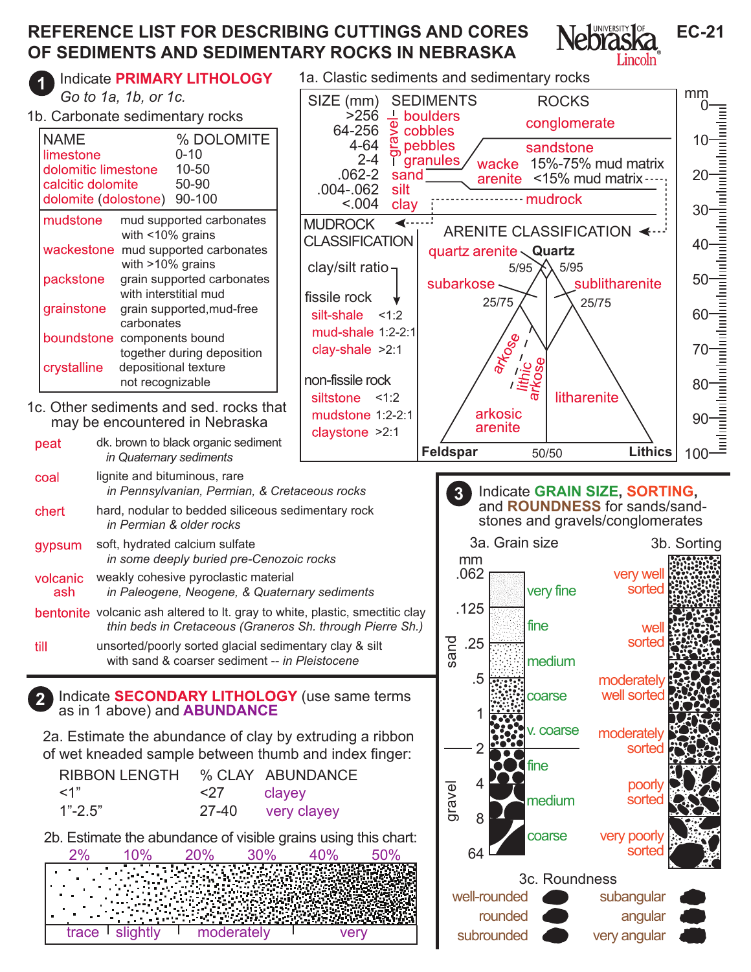## **REFERENCE LIST FOR DESCRIBING CUTTINGS AND CORES OF SEDIMENTS AND SEDIMENTARY ROCKS IN NEBRASKA**

Lincoln<sup>®</sup> Indicate **PRIMARY LITHOLOGY** 1a. Clastic sediments and sedimentary rocks **1** mm *Go to 1a, 1b, or 1c.* SIZE (mm) **SEDIMENTS**  ROCKS 0 1b. Carbonate sedimentary rocks  $>256$  $\frac{1}{\Phi}$  boulders conglomerate exector<br>
of pet<br>
of grave<br>
sand 64-256 cobbles NAME % DOLOMITE<br>  $\frac{1}{2}$   $\frac{1}{2}$   $\frac{1}{2}$   $\frac{1}{2}$   $\frac{1}{2}$   $\frac{1}{2}$   $\frac{1}{2}$   $\frac{1}{2}$   $\frac{1}{2}$   $\frac{1}{2}$   $\frac{1}{2}$   $\frac{1}{2}$   $\frac{1}{2}$   $\frac{1}{2}$   $\frac{1}{2}$   $\frac{1}{2}$   $\frac{1}{2}$   $\frac{1}{2}$   $\frac{1}{2}$   $\frac{1}{2}$   $\frac{1$ 10 4-64 pebbles sandstone  $\overline{\phantom{a}}$ limestone 0-10<br>dolomitic limestone 10-50  $2 - 4$  granules wacke 15%-75% mud matrix dolomitic limestone 10-50<br>calcitic dolomite 50-90 .062-2 20 arenite <15% mud matrix calcitic dolomite .004-.062 silt .......... mudrock dolomite (dolostone) 90-100  $< 0.04$ clay 30 mudstone mud supported carbonates **MUDROCK** ◀⋯⋯ ARENITE CLASSIFICATION < with <10% grains CLASSIFICATION 40 wackestone mud supported carbonates quartz arenite **Quartz** with >10% grains clay/silt ratio  $5/95$   $X$ 5/95 packstone arain supported carbonates 50 subarkose  $\langle \rangle$  /  $\setminus$  sublitharenite with interstitial mud fissile rock 25/75 25/75 grainstone grain supported,mud-free 60 silt-shale <1:2 carbonates mud-shale 1:2-2:1 boundstone components bound arkose clay-shale >2:1 70 together during deposition arkose crystalline depositional texture lithic non-fissile rock not recognizable 80 litharenite siltstone <1:2 1c. Other sediments and sed. rocks that arkosic mudstone 1:2-2:1 90 may be encountered in Nebraska arenite claystone >2:1 dk. brown to black organic sediment peat **Feldspar Lithics** 50/50 100  *in Quaternary sediments* coal lignite and bituminous, rare  *in Pennsylvanian, Permian, & Cretaceous rocks* **3** Indicate **GRAIN SIZE, SORTING,**  and **ROUNDNESS** for sands/sandhard, nodular to bedded siliceous sedimentary rock chert stones and gravels/conglomerates  *in Permian & older rocks* 3a. Grain size 3b. Sorting soft, hydrated calcium sulfate gypsum  *in some deeply buried pre-Cenozoic rocks*  mm .062 very well volcanic weakly cohesive pyroclastic material very fine sorted ash  *in Paleogene, Neogene, & Quaternary sediments* .125 bentonite volcanic ash altered to lt. gray to white, plastic, smectitic clay  *thin beds in Cretaceous (Graneros Sh. through Pierre Sh.)* fine wel sand .25 sorted unsorted/poorly sorted glacial sedimentary clay & silt till with sand & coarser sediment -- *in Pleistocene* medium .5 moderately well sorted Indicate **SECONDARY LITHOLOGY** (use same terms coarse as in 1 above) and **ABUNDANCE <sup>2</sup>** 1 v. coarse moderately 2a. Estimate the abundance of clay by extruding a ribbon  $\overline{\mathcal{L}}$ sorte of wet kneaded sample between thumb and index finger: fine RIBBON LENGTH % CLAY ABUNDANCE gravel 4 poorly <1" <27 clayey<br>
1"-2.5" <27 clayey medium sorte 1"-2.5" 27-40 very clayey 8 2b. Estimate the abundance of visible grains using this chart: coarse very poorly sorte 64 2% 10% 20% 30% 40% 50% 3c. Roundness well-rounded subangular

> rounded subrounded

angular very angular **EC-21**

trace slightly I moderately I very